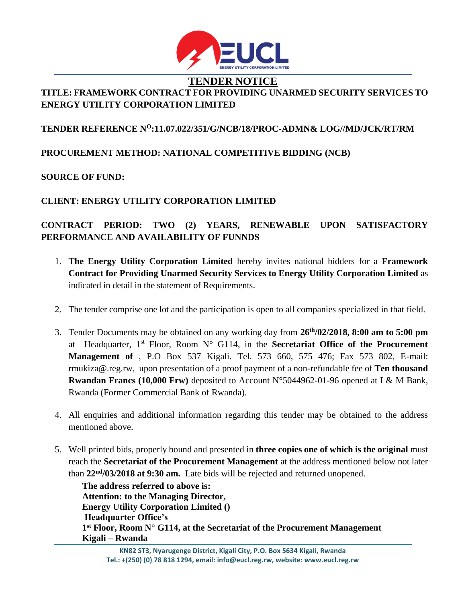

# **TENDER NOTICE TITLE: FRAMEWORK CONTRACT FOR PROVIDING UNARMED SECURITY SERVICES TO ENERGY UTILITY CORPORATION LIMITED**

### **TENDER REFERENCE N<sup>O</sup>:11.07.022/351/G/NCB/18/PROC-ADMN& LOG//MD/JCK/RT/RM**

### **PROCUREMENT METHOD: NATIONAL COMPETITIVE BIDDING (NCB)**

#### **SOURCE OF FUND:**

#### **CLIENT: ENERGY UTILITY CORPORATION LIMITED**

# **CONTRACT PERIOD: TWO (2) YEARS, RENEWABLE UPON SATISFACTORY PERFORMANCE AND AVAILABILITY OF FUNNDS**

- 1. **The Energy Utility Corporation Limited** hereby invites national bidders for a **Framework Contract for Providing Unarmed Security Services to Energy Utility Corporation Limited** as indicated in detail in the statement of Requirements.
- 2. The tender comprise one lot and the participation is open to all companies specialized in that field.
- 3. Tender Documents may be obtained on any working day from **26th/02/2018, 8:00 am to 5:00 pm**  at Headquarter, 1st Floor, Room N° G114, in the **Secretariat Office of the Procurement Management of** , P.O Box 537 Kigali. Tel. 573 660, 575 476; Fax 573 802, E-mail: rmukiza@.re[g.rw,](mailto:ewsa@rwanda1.com) upon presentation of a proof payment of a non-refundable fee of **Ten thousand Rwandan Francs (10,000 Frw)** deposited to Account N°5044962-01-96 opened at I & M Bank, Rwanda (Former Commercial Bank of Rwanda).
- 4. All enquiries and additional information regarding this tender may be obtained to the address mentioned above.
- 5. Well printed bids, properly bound and presented in **three copies one of which is the original** must reach the **Secretariat of the Procurement Management** at the address mentioned below not later than **22nd/03/2018 at 9:30 am.** Late bids will be rejected and returned unopened.

**The address referred to above is: Attention: to the Managing Director, Energy Utility Corporation Limited () Headquarter Office's 1 st Floor, Room N° G114, at the Secretariat of the Procurement Management Kigali – Rwanda**